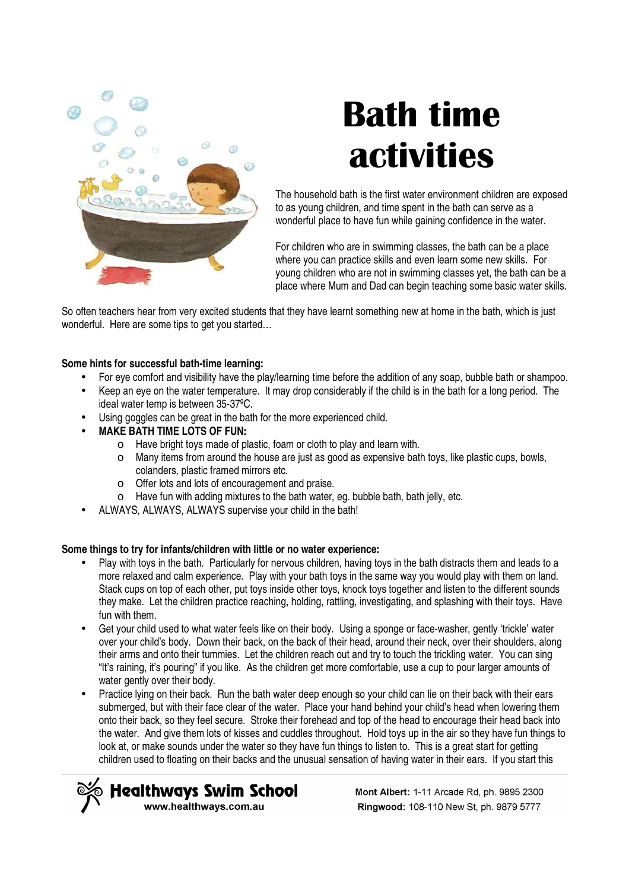

# **Bath time activities**

The household bath is the first water environment children are exposed to as young children, and time spent in the bath can serve as a wonderful place to have fun while gaining confidence in the water.

For children who are in swimming classes, the bath can be a place where you can practice skills and even learn some new skills. For young children who are not in swimming classes yet, the bath can be a place where Mum and Dad can begin teaching some basic water skills.

So often teachers hear from very excited students that they have learnt something new at home in the bath, which is just wonderful. Here are some tips to get you started…

## **Some hints for successful bath-time learning:**

- For eye comfort and visibility have the play/learning time before the addition of any soap, bubble bath or shampoo.
- Keep an eye on the water temperature. It may drop considerably if the child is in the bath for a long period. The ideal water temp is between 35-37ºC.
- Using goggles can be great in the bath for the more experienced child.
- **MAKE BATH TIME LOTS OF FUN:** 
	- o Have bright toys made of plastic, foam or cloth to play and learn with.
	- o Many items from around the house are just as good as expensive bath toys, like plastic cups, bowls, colanders, plastic framed mirrors etc.
	- o Offer lots and lots of encouragement and praise.
	- o Have fun with adding mixtures to the bath water, eg. bubble bath, bath jelly, etc.
- ALWAYS, ALWAYS, ALWAYS supervise your child in the bath!

### **Some things to try for infants/children with little or no water experience:**

- Play with toys in the bath. Particularly for nervous children, having toys in the bath distracts them and leads to a more relaxed and calm experience. Play with your bath toys in the same way you would play with them on land. Stack cups on top of each other, put toys inside other toys, knock toys together and listen to the different sounds they make. Let the children practice reaching, holding, rattling, investigating, and splashing with their toys. Have fun with them.
- Get your child used to what water feels like on their body. Using a sponge or face-washer, gently 'trickle' water over your child's body. Down their back, on the back of their head, around their neck, over their shoulders, along their arms and onto their tummies. Let the children reach out and try to touch the trickling water. You can sing "It's raining, it's pouring" if you like. As the children get more comfortable, use a cup to pour larger amounts of water gently over their body.
- Practice lying on their back. Run the bath water deep enough so your child can lie on their back with their ears submerged, but with their face clear of the water. Place your hand behind your child's head when lowering them onto their back, so they feel secure. Stroke their forehead and top of the head to encourage their head back into the water. And give them lots of kisses and cuddles throughout. Hold toys up in the air so they have fun things to look at, or make sounds under the water so they have fun things to listen to. This is a great start for getting children used to floating on their backs and the unusual sensation of having water in their ears. If you start this



Mont Albert: 1-11 Arcade Rd, ph. 9895 2300 Ringwood: 108-110 New St. ph. 9879 5777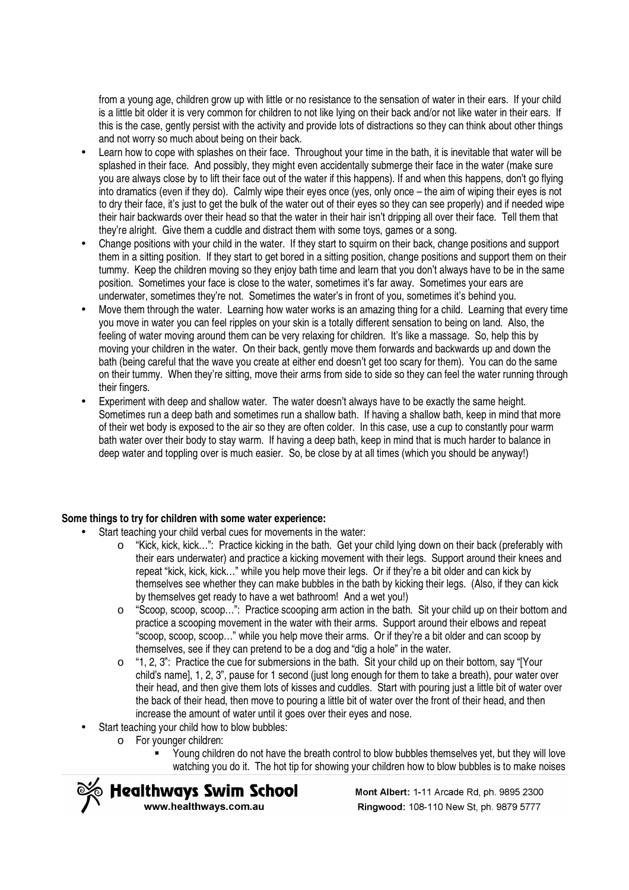from a young age, children grow up with little or no resistance to the sensation of water in their ears. If your child is a little bit older it is very common for children to not like lying on their back and/or not like water in their ears. If this is the case, gently persist with the activity and provide lots of distractions so they can think about other things and not worry so much about being on their back.

- Learn how to cope with splashes on their face. Throughout your time in the bath, it is inevitable that water will be splashed in their face. And possibly, they might even accidentally submerge their face in the water (make sure you are always close by to lift their face out of the water if this happens). If and when this happens, don't go flying into dramatics (even if they do). Calmly wipe their eyes once (yes, only once – the aim of wiping their eyes is not to dry their face, it's just to get the bulk of the water out of their eyes so they can see properly) and if needed wipe their hair backwards over their head so that the water in their hair isn't dripping all over their face. Tell them that they're alright. Give them a cuddle and distract them with some toys, games or a song.
- Change positions with your child in the water. If they start to squirm on their back, change positions and support them in a sitting position. If they start to get bored in a sitting position, change positions and support them on their tummy. Keep the children moving so they enjoy bath time and learn that you don't always have to be in the same position. Sometimes your face is close to the water, sometimes it's far away. Sometimes your ears are underwater, sometimes they're not. Sometimes the water's in front of you, sometimes it's behind you.
- Move them through the water. Learning how water works is an amazing thing for a child. Learning that every time you move in water you can feel ripples on your skin is a totally different sensation to being on land. Also, the feeling of water moving around them can be very relaxing for children. It's like a massage. So, help this by moving your children in the water. On their back, gently move them forwards and backwards up and down the bath (being careful that the wave you create at either end doesn't get too scary for them). You can do the same on their tummy. When they're sitting, move their arms from side to side so they can feel the water running through their fingers.
- Experiment with deep and shallow water. The water doesn't always have to be exactly the same height. Sometimes run a deep bath and sometimes run a shallow bath. If having a shallow bath, keep in mind that more of their wet body is exposed to the air so they are often colder. In this case, use a cup to constantly pour warm bath water over their body to stay warm. If having a deep bath, keep in mind that is much harder to balance in deep water and toppling over is much easier. So, be close by at all times (which you should be anyway!)

#### **Some things to try for children with some water experience:**

- Start teaching your child verbal cues for movements in the water:
	- o "Kick, kick, kick…": Practice kicking in the bath. Get your child lying down on their back (preferably with their ears underwater) and practice a kicking movement with their legs. Support around their knees and repeat "kick, kick, kick…" while you help move their legs. Or if they're a bit older and can kick by themselves see whether they can make bubbles in the bath by kicking their legs. (Also, if they can kick by themselves get ready to have a wet bathroom! And a wet you!)
	- o "Scoop, scoop, scoop…": Practice scooping arm action in the bath. Sit your child up on their bottom and practice a scooping movement in the water with their arms. Support around their elbows and repeat "scoop, scoop, scoop…" while you help move their arms. Or if they're a bit older and can scoop by themselves, see if they can pretend to be a dog and "dig a hole" in the water.
	- $\circ$  "1, 2, 3": Practice the cue for submersions in the bath. Sit your child up on their bottom, say "[Your child's name], 1, 2, 3", pause for 1 second (just long enough for them to take a breath), pour water over their head, and then give them lots of kisses and cuddles. Start with pouring just a little bit of water over the back of their head, then move to pouring a little bit of water over the front of their head, and then increase the amount of water until it goes over their eyes and nose.
- Start teaching your child how to blow bubbles:
	- o For younger children:
		- Young children do not have the breath control to blow bubbles themselves yet, but they will love watching you do it. The hot tip for showing your children how to blow bubbles is to make noises



Mont Albert: 1-11 Arcade Rd, ph. 9895 2300 Ringwood: 108-110 New St. ph. 9879 5777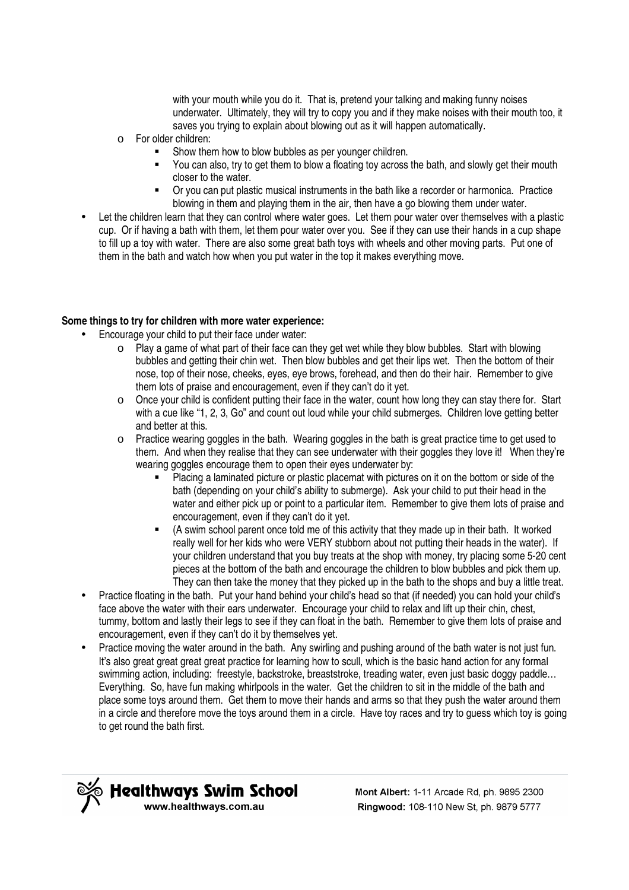with your mouth while you do it. That is, pretend your talking and making funny noises underwater. Ultimately, they will try to copy you and if they make noises with their mouth too, it saves you trying to explain about blowing out as it will happen automatically.

- o For older children:
	- Show them how to blow bubbles as per younger children.
	- You can also, try to get them to blow a floating toy across the bath, and slowly get their mouth closer to the water.
	- Or you can put plastic musical instruments in the bath like a recorder or harmonica. Practice blowing in them and playing them in the air, then have a go blowing them under water.
- Let the children learn that they can control where water goes. Let them pour water over themselves with a plastic cup. Or if having a bath with them, let them pour water over you. See if they can use their hands in a cup shape to fill up a toy with water. There are also some great bath toys with wheels and other moving parts. Put one of them in the bath and watch how when you put water in the top it makes everything move.

#### **Some things to try for children with more water experience:**

- Encourage your child to put their face under water:
	- $\circ$  Play a game of what part of their face can they get wet while they blow bubbles. Start with blowing bubbles and getting their chin wet. Then blow bubbles and get their lips wet. Then the bottom of their nose, top of their nose, cheeks, eyes, eye brows, forehead, and then do their hair. Remember to give them lots of praise and encouragement, even if they can't do it yet.
	- o Once your child is confident putting their face in the water, count how long they can stay there for. Start with a cue like "1, 2, 3, Go" and count out loud while your child submerges. Children love getting better and better at this.
	- $\circ$  Practice wearing goggles in the bath. Wearing goggles in the bath is great practice time to get used to them. And when they realise that they can see underwater with their goggles they love it! When they're wearing goggles encourage them to open their eyes underwater by:
		- Placing a laminated picture or plastic placemat with pictures on it on the bottom or side of the bath (depending on your child's ability to submerge). Ask your child to put their head in the water and either pick up or point to a particular item. Remember to give them lots of praise and encouragement, even if they can't do it yet.
		- (A swim school parent once told me of this activity that they made up in their bath. It worked really well for her kids who were VERY stubborn about not putting their heads in the water). If your children understand that you buy treats at the shop with money, try placing some 5-20 cent pieces at the bottom of the bath and encourage the children to blow bubbles and pick them up. They can then take the money that they picked up in the bath to the shops and buy a little treat.
	- Practice floating in the bath. Put your hand behind your child's head so that (if needed) you can hold your child's face above the water with their ears underwater. Encourage your child to relax and lift up their chin, chest, tummy, bottom and lastly their legs to see if they can float in the bath. Remember to give them lots of praise and encouragement, even if they can't do it by themselves yet.
	- Practice moving the water around in the bath. Any swirling and pushing around of the bath water is not just fun. It's also great great great great practice for learning how to scull, which is the basic hand action for any formal swimming action, including: freestyle, backstroke, breaststroke, treading water, even just basic doggy paddle… Everything. So, have fun making whirlpools in the water. Get the children to sit in the middle of the bath and place some toys around them. Get them to move their hands and arms so that they push the water around them in a circle and therefore move the toys around them in a circle. Have toy races and try to guess which toy is going to get round the bath first.



Mont Albert: 1-11 Arcade Rd, ph. 9895 2300 Ringwood: 108-110 New St. ph. 9879 5777